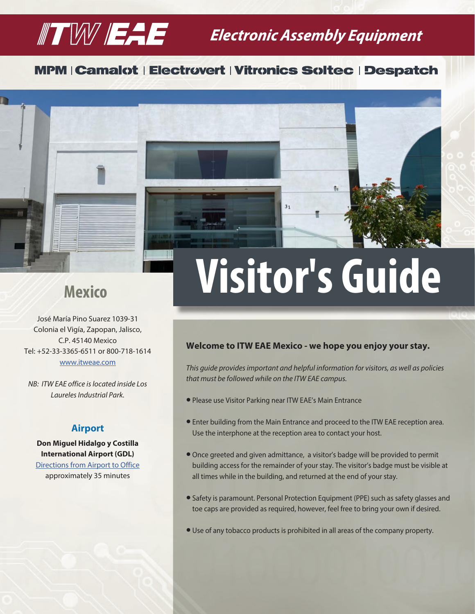# $\mathbb T$   $\mathbb W$   $\mathbb H$   $\mathbb H$  Extronic Assembly Equipment

## **MPM | Camalot | Electrovert | Vitronics Soltec | Despatch**



José María Pino Suarez 1039-31 Colonia el Vigía, Zapopan, Jalisco, C.P. 45140 Mexico Tel: +52-33-3365-6511 or 800-718-1614 [www.itweae.com](https://www.itweae.com/)

*NB: ITW EAE office is located inside Los Laureles Industrial Park.*

### **Airport**

**Don Miguel Hidalgo y Costilla International Airport (GDL)** [Directions from Airport to Office](https://www.google.com/maps/dir/Don+Miguel+Hidalgo+y+Costilla+International+Airport+(GDL),+Carretera+Guadalajara+-+Chapala,+Jalisco,+Mexico/Prol.+Pino+Su%C3%A1rez+1039,+El+Vig%C3%ADa,+45140+Zapopan,+Jal.,+Mexico/@20.6335653,-103.3999233,12z/data=!3m1!4b1!4m14!4m13!1m5!1m1!1s0x842f4daad5240069:0x4c14fc392e7d6f9d!2m2!1d-103.307625!2d20.5259561!1m5!1m1!1s0x8428af969307833d:0x28fd4ca4574c6eb8!2m2!1d-103.3890736!2d20.7376981!3e0) approximately 35 minutes

# **Mexico Visitor's Guide**

 $3<sub>1</sub>$ 

#### **Welcome to ITW EAE Mexico - we hope you enjoy your stay.**

*This guide provides important and helpful information for visitors, as well as policies that must be followed while on the ITW EAE campus.*

- l Please use Visitor Parking near ITW EAE's Main Entrance
- l Enter building from the Main Entrance and proceed to the ITW EAE reception area. Use the interphone at the reception area to contact your host.
- l Once greeted and given admittance, a visitor's badge will be provided to permit building access for the remainder of your stay. The visitor's badge must be visible at all times while in the building, and returned at the end of your stay.
- Safety is paramount. Personal Protection Equipment (PPE) such as safety glasses and toe caps are provided as required, however, feel free to bring your own if desired.
- Use of any tobacco products is prohibited in all areas of the company property.